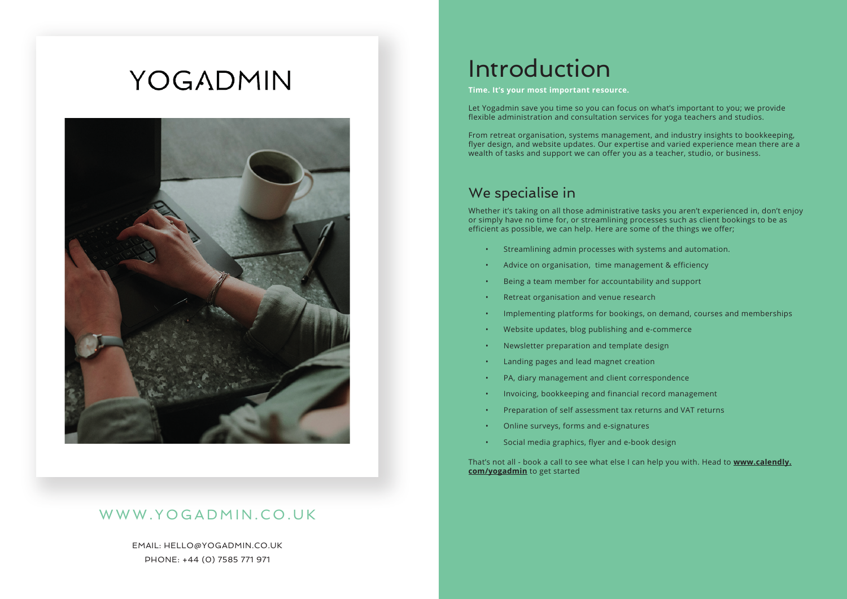# YOGADMIN



#### WWW.YOGADMIN.CO.UK

EMAIL: HELLO@YOGADMIN.CO.UK PHONE: +44 (0) 7585 771 971

## Introduction

**Time. It's your most important resource.**

Let Yogadmin save you time so you can focus on what's important to you; we provide flexible administration and consultation services for yoga teachers and studios.

From retreat organisation, systems management, and industry insights to bookkeeping, flyer design, and website updates. Our expertise and varied experience mean there are a wealth of tasks and support we can offer you as a teacher, studio, or business.

#### We specialise in

Whether it's taking on all those administrative tasks you aren't experienced in, don't enjoy or simply have no time for, or streamlining processes such as client bookings to be as efficient as possible, we can help. Here are some of the things we offer;

- Streamlining admin processes with systems and automation.
- Advice on organisation, time management & efficiency
- Being a team member for accountability and support
- Retreat organisation and venue research
- Implementing platforms for bookings, on demand, courses and memberships
- Website updates, blog publishing and e-commerce
- Newsletter preparation and template design
- Landing pages and lead magnet creation
- PA, diary management and client correspondence
- Invoicing, bookkeeping and financial record management
- Preparation of self assessment tax returns and VAT returns
- Online surveys, forms and e-signatures
- Social media graphics, flyer and e-book design

That's not all - book a call to see what else I can help you with. Head to **[www.calendly.](http://www.calendly.com/yogadmin) [com/yogadmin](http://www.calendly.com/yogadmin)** to get started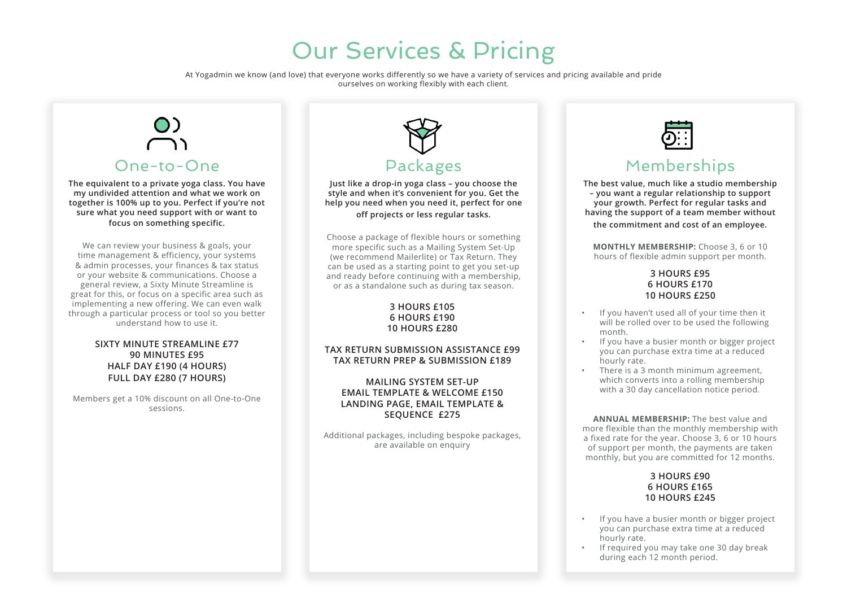



### WWW.YOADMIN.CO.U

MAIL HLLOYOADMIN.CO.U PHON (0) 8 1 91